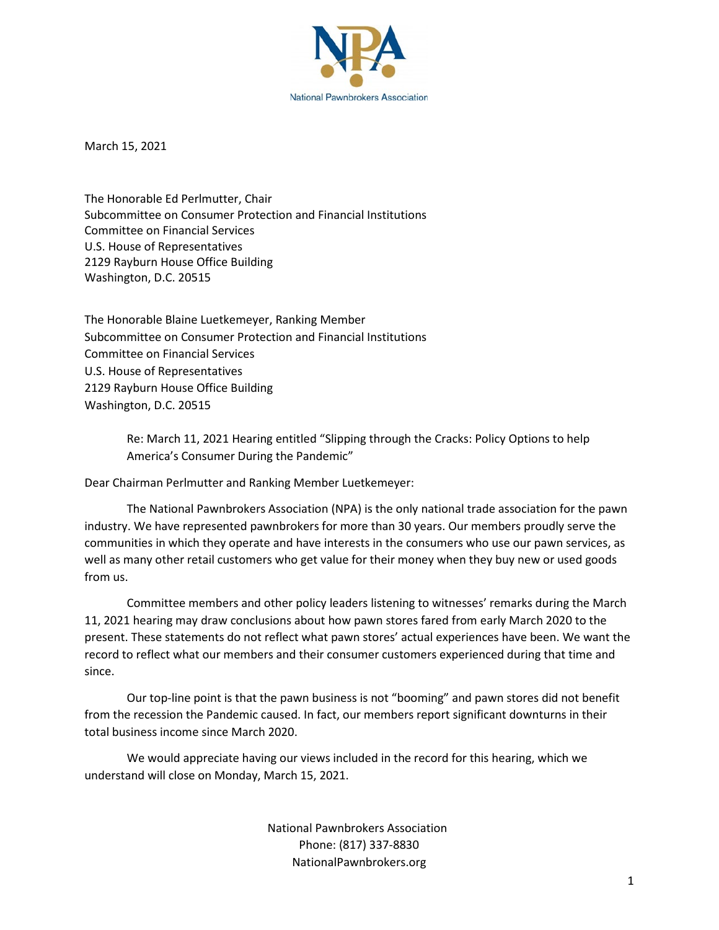

March 15, 2021

The Honorable Ed Perlmutter, Chair Subcommittee on Consumer Protection and Financial Institutions Committee on Financial Services U.S. House of Representatives 2129 Rayburn House Office Building Washington, D.C. 20515

The Honorable Blaine Luetkemeyer, Ranking Member Subcommittee on Consumer Protection and Financial Institutions Committee on Financial Services U.S. House of Representatives 2129 Rayburn House Office Building Washington, D.C. 20515

> Re: March 11, 2021 Hearing entitled "Slipping through the Cracks: Policy Options to help America's Consumer During the Pandemic"

Dear Chairman Perlmutter and Ranking Member Luetkemeyer:

The National Pawnbrokers Association (NPA) is the only national trade association for the pawn industry. We have represented pawnbrokers for more than 30 years. Our members proudly serve the communities in which they operate and have interests in the consumers who use our pawn services, as well as many other retail customers who get value for their money when they buy new or used goods from us.

Committee members and other policy leaders listening to witnesses' remarks during the March 11, 2021 hearing may draw conclusions about how pawn stores fared from early March 2020 to the present. These statements do not reflect what pawn stores' actual experiences have been. We want the record to reflect what our members and their consumer customers experienced during that time and since.

Our top-line point is that the pawn business is not "booming" and pawn stores did not benefit from the recession the Pandemic caused. In fact, our members report significant downturns in their total business income since March 2020.

We would appreciate having our views included in the record for this hearing, which we understand will close on Monday, March 15, 2021.

> National Pawnbrokers Association Phone: (817) 337-8830 NationalPawnbrokers.org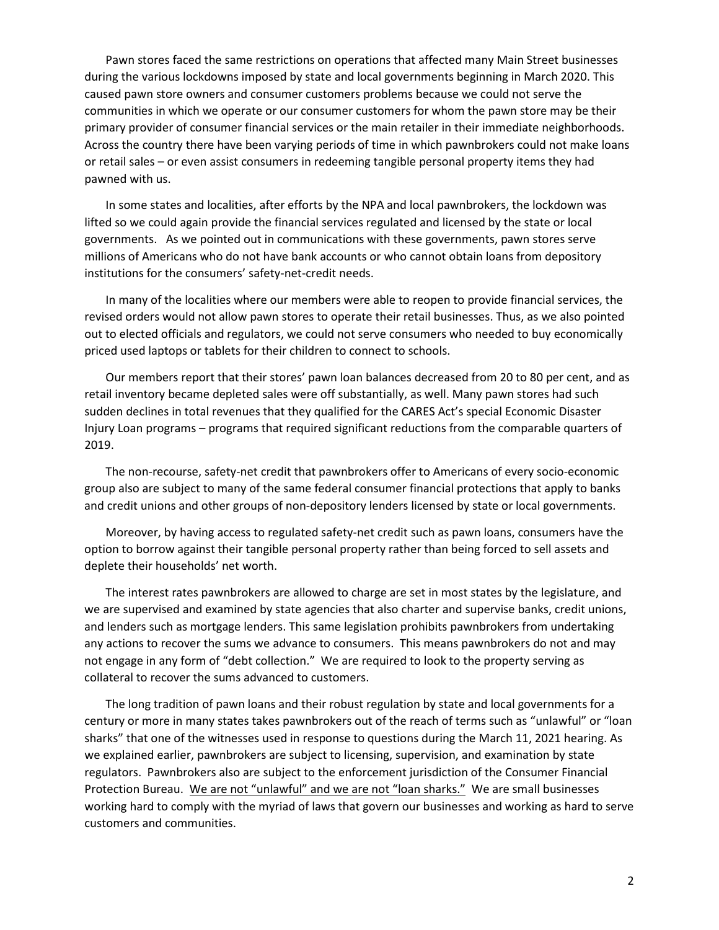Pawn stores faced the same restrictions on operations that affected many Main Street businesses during the various lockdowns imposed by state and local governments beginning in March 2020. This caused pawn store owners and consumer customers problems because we could not serve the communities in which we operate or our consumer customers for whom the pawn store may be their primary provider of consumer financial services or the main retailer in their immediate neighborhoods. Across the country there have been varying periods of time in which pawnbrokers could not make loans or retail sales – or even assist consumers in redeeming tangible personal property items they had pawned with us.

In some states and localities, after efforts by the NPA and local pawnbrokers, the lockdown was lifted so we could again provide the financial services regulated and licensed by the state or local governments. As we pointed out in communications with these governments, pawn stores serve millions of Americans who do not have bank accounts or who cannot obtain loans from depository institutions for the consumers' safety-net-credit needs.

In many of the localities where our members were able to reopen to provide financial services, the revised orders would not allow pawn stores to operate their retail businesses. Thus, as we also pointed out to elected officials and regulators, we could not serve consumers who needed to buy economically priced used laptops or tablets for their children to connect to schools.

Our members report that their stores' pawn loan balances decreased from 20 to 80 per cent, and as retail inventory became depleted sales were off substantially, as well. Many pawn stores had such sudden declines in total revenues that they qualified for the CARES Act's special Economic Disaster Injury Loan programs – programs that required significant reductions from the comparable quarters of 2019.

The non-recourse, safety-net credit that pawnbrokers offer to Americans of every socio-economic group also are subject to many of the same federal consumer financial protections that apply to banks and credit unions and other groups of non-depository lenders licensed by state or local governments.

Moreover, by having access to regulated safety-net credit such as pawn loans, consumers have the option to borrow against their tangible personal property rather than being forced to sell assets and deplete their households' net worth.

The interest rates pawnbrokers are allowed to charge are set in most states by the legislature, and we are supervised and examined by state agencies that also charter and supervise banks, credit unions, and lenders such as mortgage lenders. This same legislation prohibits pawnbrokers from undertaking any actions to recover the sums we advance to consumers. This means pawnbrokers do not and may not engage in any form of "debt collection." We are required to look to the property serving as collateral to recover the sums advanced to customers.

The long tradition of pawn loans and their robust regulation by state and local governments for a century or more in many states takes pawnbrokers out of the reach of terms such as "unlawful" or "loan sharks" that one of the witnesses used in response to questions during the March 11, 2021 hearing. As we explained earlier, pawnbrokers are subject to licensing, supervision, and examination by state regulators. Pawnbrokers also are subject to the enforcement jurisdiction of the Consumer Financial Protection Bureau. We are not "unlawful" and we are not "loan sharks." We are small businesses working hard to comply with the myriad of laws that govern our businesses and working as hard to serve customers and communities.